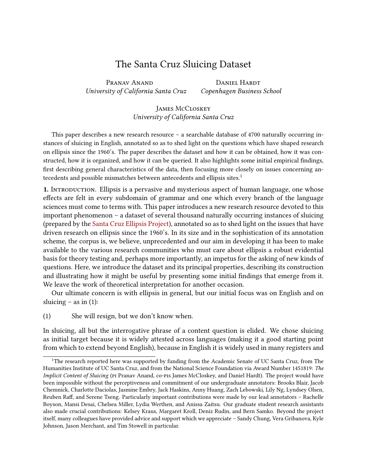## The Santa Cruz Sluicing Dataset

Pranav Anand Daniel Hardt University of California Santa Cruz Copenhagen Business School

James McCloskey University of California Santa Cruz

This paper describes a new research resource – a searchable database of 4700 naturally occurring instances of sluicing in English, annotated so as to shed light on the questions which have shaped research on ellipsis since the 1960's. The paper describes the dataset and how it can be obtained, how it was constructed, how it is organized, and how it can be queried. It also highlights some initial empirical findings, first describing general characteristics of the data, then focusing more closely on issues concerning an-tecedents and possible mismatches between antecedents and ellipsis sites.<sup>[1](#page-0-0)</sup>

**1.** INTRODUCTION. Ellipsis is a pervasive and mysterious aspect of human language, one whose effects are felt in every subdomain of grammar and one which every branch of the language sciences must come to terms with. This paper introduces a new research resource devoted to this important phenomenon – a dataset of several thousand naturally occurring instances of sluicing (prepared by the [Santa Cruz Ellipsis Project\)](http://babel.ucsc.edu/SCEP), annotated so as to shed light on the issues that have driven research on ellipsis since the 1960's. In its size and in the sophistication of its annotation scheme, the corpus is, we believe, unprecedented and our aim in developing it has been to make available to the various research communities who must care about ellipsis a robust evidential basis for theory testing and, perhaps more importantly, an impetus for the asking of new kinds of questions. Here, we introduce the dataset and its principal properties, describing its construction and illustrating how it might be useful by presenting some initial findings that emerge from it. We leave the work of theoretical interpretation for another occasion.

Our ultimate concern is with ellipsis in general, but our initial focus was on English and on sluicing – as in  $(1)$ :

(1) She will resign, but we don't know when.

In sluicing, all but the interrogative phrase of a content question is elided. We chose sluicing as initial target because it is widely attested across languages (making it a good starting point from which to extend beyond English), because in English it is widely used in many registers and

<span id="page-0-0"></span><sup>1</sup>The research reported here was supported by funding from the Academic Senate of UC Santa Cruz, from The Humanities Institute of UC Santa Cruz, and from the National Science Foundation via Award Number 1451819: The Implicit Content of Sluicing (pi Pranav Anand, co-pis James McCloskey, and Daniel Hardt). The project would have been impossible without the perceptiveness and commitment of our undergraduate annotators: Brooks Blair, Jacob Chemnick, Charlotte Daciolas, Jasmine Embry, Jack Haskins, Anny Huang, Zach Lebowski, Lily Ng, Lyndsey Olsen, Reuben Raff, and Serene Tseng. Particularly important contributions were made by our lead annotators - Rachelle Boyson, Mansi Desai, Chelsea Miller, Lydia Werthen, and Anissa Zaitsu. Our graduate student research assistants also made crucial contributions: Kelsey Kraus, Margaret Kroll, Deniz Rudin, and Bern Samko. Beyond the project itself, many colleagues have provided advice and support which we appreciate – Sandy Chung, Vera Gribanova, Kyle Johnson, Jason Merchant, and Tim Stowell in particular.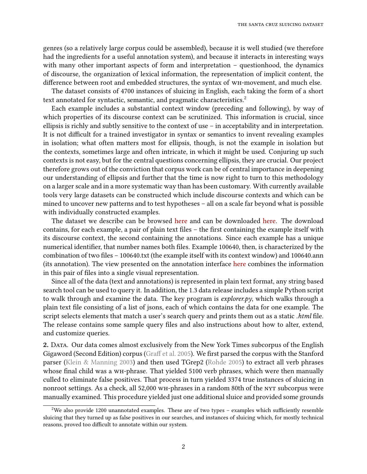genres (so a relatively large corpus could be assembled), because it is well studied (we therefore had the ingredients for a useful annotation system), and because it interacts in interesting ways with many other important aspects of form and interpretation – questionhood, the dynamics of discourse, the organization of lexical information, the representation of implicit content, the difference between root and embedded structures, the syntax of WH-movement, and much else.

The dataset consists of 4700 instances of sluicing in English, each taking the form of a short text annotated for syntactic, semantic, and pragmatic characteristics.<sup>[2](#page-1-0)</sup>

Each example includes a substantial context window (preceding and following), by way of which properties of its discourse context can be scrutinized. This information is crucial, since ellipsis is richly and subtly sensitive to the context of use – in acceptability and in interpretation. It is not difficult for a trained investigator in syntax or semantics to invent revealing examples in isolation; what often matters most for ellipsis, though, is not the example in isolation but the contexts, sometimes large and often intricate, in which it might be used. Conjuring up such contexts is not easy, but for the central questions concerning ellipsis, they are crucial. Our project therefore grows out of the conviction that corpus work can be of central importance in deepening our understanding of ellipsis and further that the time is now right to turn to this methodology on a larger scale and in a more systematic way than has been customary. With currently available tools very large datasets can be constructed which include discourse contexts and which can be mined to uncover new patterns and to test hypotheses – all on a scale far beyond what is possible with individually constructed examples.

The dataset we describe can be browsed [here](http://gramadach.net/bratv1.3/#/sluicing/data/GOLD) and can be downloaded [here.](https://zenodo.org/record/1739702) The download contains, for each example, a pair of plain text files – the first containing the example itself with its discourse context, the second containing the annotations. Since each example has a unique numerical identifier, that number names both files. Example 100640, then, is characterized by the combination of two files – 100640.txt (the example itself with its context window) and 100640.ann (its annotation). The view presented on the annotation interface [here](http://gramadach.net/bratv1.3/#/sluicing/data/GOLD/Jan06_16/100640) combines the information in this pair of files into a single visual representation.

Since all of the data (text and annotations) is represented in plain text format, any string based search tool can be used to query it. In addition, the 1.3 data release includes a simple Python script to walk through and examine the data. The key program is *explorer.py*, which walks through a plain text file consisting of a list of jsons, each of which contains the data for one example. The script selects elements that match a user's search query and prints them out as a static .html file. The release contains some sample query files and also instructions about how to alter, extend, and customize queries.

2. Data. Our data comes almost exclusively from the New York Times subcorpus of the English Gigaword (Second Edition) corpus (Graff et al. [2005\)](#page-19-0). We first parsed the corpus with the Stanford parser [\(Klein & Manning](#page-20-0) [2003\)](#page-20-0) and then used TGrep2 [\(Rohde](#page-20-1) [2005\)](#page-20-1) to extract all verb phrases whose final child was a wH-phrase. That yielded 5100 verb phrases, which were then manually culled to eliminate false positives. That process in turn yielded 3374 true instances of sluicing in nonroot settings. As a check, all 52,000 wH-phrases in a random 80th of the NYT subcorpus were manually examined. This procedure yielded just one additional sluice and provided some grounds

<span id="page-1-0"></span><sup>&</sup>lt;sup>2</sup>We also provide 1200 unannotated examples. These are of two types – examples which sufficiently resemble sluicing that they turned up as false positives in our searches, and instances of sluicing which, for mostly technical reasons, proved too difficult to annotate within our system.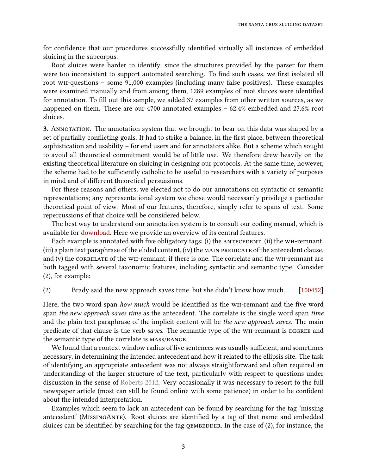for confidence that our procedures successfully identified virtually all instances of embedded sluicing in the subcorpus.

Root sluices were harder to identify, since the structures provided by the parser for them were too inconsistent to support automated searching. To find such cases, we first isolated all root wh-questions – some 91,000 examples (including many false positives). These examples were examined manually and from among them, 1289 examples of root sluices were identified for annotation. To fill out this sample, we added 37 examples from other written sources, as we happened on them. These are our 4700 annotated examples – 62.4% embedded and 27.6% root sluices.

3. ANNOTATION. The annotation system that we brought to bear on this data was shaped by a set of partially conflicting goals. It had to strike a balance, in the first place, between theoretical sophistication and usability – for end users and for annotators alike. But a scheme which sought to avoid all theoretical commitment would be of little use. We therefore drew heavily on the existing theoretical literature on sluicing in designing our protocols. At the same time, however, the scheme had to be sufficiently catholic to be useful to researchers with a variety of purposes in mind and of different theoretical persuasions.

For these reasons and others, we elected not to do our annotations on syntactic or semantic representations; any representational system we chose would necessarily privilege a particular theoretical point of view. Most of our features, therefore, simply refer to spans of text. Some repercussions of that choice will be considered below.

The best way to understand our annotation system is to consult our coding manual, which is available for [download.](http://babel.ucsc.edu/SCEP/Downloads/index.html) Here we provide an overview of its central features.

Each example is annotated with five obligatory tags: (i) the  $A$ NTECEDENT, (ii) the WH-remnant,  $(iii)$  a plain text paraphrase of the elided content,  $(iv)$  the MAIN PREDICATE of the antecedent clause, and (v) the CORRELATE of the WH-remnant, if there is one. The correlate and the WH-remnant are both tagged with several taxonomic features, including syntactic and semantic type. Consider (2), for example:

(2) Brady said the new approach saves time, but she didn't know how much. [\[100452\]](http://gramadach.net/bratv1.3/#/sluicing/data/GOLD/Feb12/100452)

Here, the two word span *how much* would be identified as the WH-remnant and the five word span the new approach saves time as the antecedent. The correlate is the single word span time and the plain text paraphrase of the implicit content will be the new approach saves. The main predicate of that clause is the verb *saves*. The semantic type of the WH-remnant is DEGREE and the semantic type of the correlate is mass/range.

We found that a context window radius of five sentences was usually sufficient, and sometimes necessary, in determining the intended antecedent and how it related to the ellipsis site. The task of identifying an appropriate antecedent was not always straightforward and often required an understanding of the larger structure of the text, particularly with respect to questions under discussion in the sense of [Roberts](#page-20-2) [2012.](#page-20-2) Very occasionally it was necessary to resort to the full newspaper article (most can still be found online with some patience) in order to be confident about the intended interpretation.

Examples which seem to lack an antecedent can be found by searching for the tag 'missing antecedent' (MISSINGANTE). Root sluices are identified by a tag of that name and embedded sluices can be identified by searching for the tag  $QEMBEDDER$ . In the case of  $(2)$ , for instance, the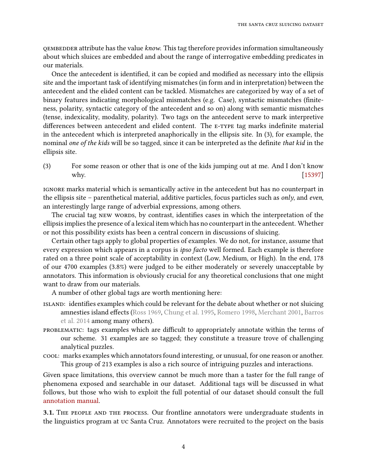qembedder attribute has the value know. This tag therefore provides information simultaneously about which sluices are embedded and about the range of interrogative embedding predicates in our materials.

Once the antecedent is identified, it can be copied and modified as necessary into the ellipsis site and the important task of identifying mismatches (in form and in interpretation) between the antecedent and the elided content can be tackled. Mismatches are categorized by way of a set of binary features indicating morphological mismatches (e.g. Case), syntactic mismatches (finiteness, polarity, syntactic category of the antecedent and so on) along with semantic mismatches (tense, indexicality, modality, polarity). Two tags on the antecedent serve to mark interpretive differences between antecedent and elided content. The E-TYPE tag marks indefinite material in the antecedent which is interpreted anaphorically in the ellipsis site. In (3), for example, the nominal one of the kids will be so tagged, since it can be interpreted as the definite that kid in the ellipsis site.

(3) For some reason or other that is one of the kids jumping out at me. And I don't know why. [\[15397\]](http://gramadach.net/bratv1.3/#/sluicing/data/GOLD/Apr28/15397)

ignore marks material which is semantically active in the antecedent but has no counterpart in the ellipsis site – parenthetical material, additive particles, focus particles such as *only*, and *even*, an interestingly large range of adverbial expressions, among others.

The crucial tag NEW WORDS, by contrast, identifies cases in which the interpretation of the ellipsis implies the presence of a lexical item which has no counterpart in the antecedent. Whether or not this possibility exists has been a central concern in discussions of sluicing.

Certain other tags apply to global properties of examples. We do not, for instance, assume that every expression which appears in a corpus is *ipso facto* well formed. Each example is therefore rated on a three point scale of acceptability in context (Low, Medium, or High). In the end, 178 of our 4700 examples (3.8%) were judged to be either moderately or severely unacceptable by annotators. This information is obviously crucial for any theoretical conclusions that one might want to draw from our materials.

A number of other global tags are worth mentioning here:

- ISLAND: identifies examples which could be relevant for the debate about whether or not sluicing amnesties island effects [\(Ross](#page-21-0) [1969,](#page-21-0) [Chung et al.](#page-19-1) [1995,](#page-19-1) [Romero](#page-20-3) [1998,](#page-20-3) [Merchant](#page-20-4) [2001,](#page-20-4) [Barros](#page-19-2) [et al.](#page-19-2) [2014](#page-19-2) among many others).
- PROBLEMATIC: tags examples which are difficult to appropriately annotate within the terms of our scheme. 31 examples are so tagged; they constitute a treasure trove of challenging analytical puzzles.
- cool: marks examples which annotators found interesting, or unusual, for one reason or another. This group of 213 examples is also a rich source of intriguing puzzles and interactions.

Given space limitations, this overview cannot be much more than a taster for the full range of phenomena exposed and searchable in our dataset. Additional tags will be discussed in what follows, but those who wish to exploit the full potential of our dataset should consult the full [annotation manual.](http://babel.ucsc.edu/SCEP/Downloads/annotation-guide.pdf)

3.1. The people and the process. Our frontline annotators were undergraduate students in the linguistics program at uc Santa Cruz. Annotators were recruited to the project on the basis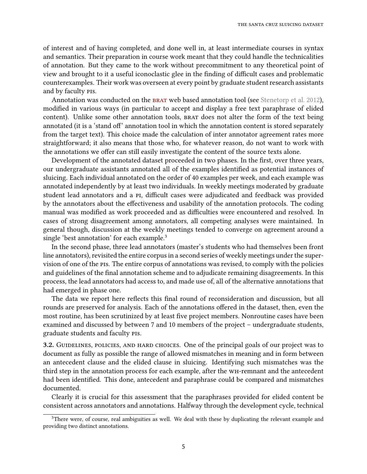of interest and of having completed, and done well in, at least intermediate courses in syntax and semantics. Their preparation in course work meant that they could handle the technicalities of annotation. But they came to the work without precommitment to any theoretical point of view and brought to it a useful iconoclastic glee in the finding of difficult cases and problematic counterexamples. Their work was overseen at every point by graduate student research assistants and by faculty pis.

Annotation was conducted on the BRAT web based annotation tool (see [Stenetorp et al.](#page-21-1) [2012\)](#page-21-1), modified in various ways (in particular to accept and display a free text paraphrase of elided content). Unlike some other annotation tools, BRAT does not alter the form of the text being annotated (it is a 'stand off' annotation tool in which the annotation content is stored separately from the target text). This choice made the calculation of inter annotator agreement rates more straightforward; it also means that those who, for whatever reason, do not want to work with the annotations we offer can still easily investigate the content of the source texts alone.

Development of the annotated dataset proceeded in two phases. In the first, over three years, our undergraduate assistants annotated all of the examples identified as potential instances of sluicing. Each individual annotated on the order of 40 examples per week, and each example was annotated independently by at least two individuals. In weekly meetings moderated by graduate student lead annotators and a PI, difficult cases were adjudicated and feedback was provided by the annotators about the effectiveness and usability of the annotation protocols. The coding manual was modified as work proceeded and as difficulties were encountered and resolved. In cases of strong disagreement among annotators, all competing analyses were maintained. In general though, discussion at the weekly meetings tended to converge on agreement around a single 'best annotation' for each example.<sup>[3](#page-4-0)</sup>

In the second phase, three lead annotators (master's students who had themselves been front line annotators), revisited the entire corpus in a second series of weekly meetings under the supervision of one of the pis. The entire corpus of annotations was revised, to comply with the policies and guidelines of the final annotation scheme and to adjudicate remaining disagreements. In this process, the lead annotators had access to, and made use of, all of the alternative annotations that had emerged in phase one.

The data we report here reflects this final round of reconsideration and discussion, but all rounds are preserved for analysis. Each of the annotations offered in the dataset, then, even the most routine, has been scrutinized by at least five project members. Nonroutine cases have been examined and discussed by between 7 and 10 members of the project – undergraduate students, graduate students and faculty pis.

<span id="page-4-1"></span>3.2. GUIDELINES, POLICIES, AND HARD CHOICES. One of the principal goals of our project was to document as fully as possible the range of allowed mismatches in meaning and in form between an antecedent clause and the elided clause in sluicing. Identifying such mismatches was the third step in the annotation process for each example, after the wh-remnant and the antecedent had been identified. This done, antecedent and paraphrase could be compared and mismatches documented.

Clearly it is crucial for this assessment that the paraphrases provided for elided content be consistent across annotators and annotations. Halfway through the development cycle, technical

<span id="page-4-0"></span><sup>&</sup>lt;sup>3</sup>There were, of course, real ambiguities as well. We deal with these by duplicating the relevant example and providing two distinct annotations.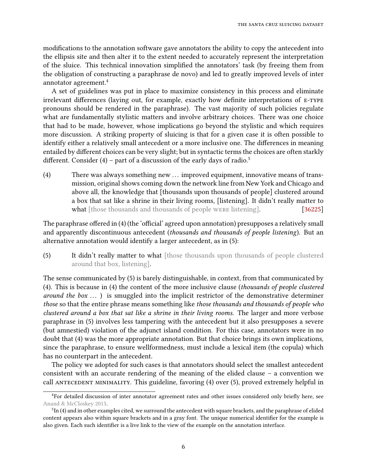modifications to the annotation software gave annotators the ability to copy the antecedent into the ellipsis site and then alter it to the extent needed to accurately represent the interpretation of the sluice. This technical innovation simplied the annotators' task (by freeing them from the obligation of constructing a paraphrase de novo) and led to greatly improved levels of inter annotator agreement.<sup>[4](#page-5-0)</sup>

A set of guidelines was put in place to maximize consistency in this process and eliminate irrelevant differences (laying out, for example, exactly how definite interpretations of E-TYPE pronouns should be rendered in the paraphrase). The vast majority of such policies regulate what are fundamentally stylistic matters and involve arbitrary choices. There was one choice that had to be made, however, whose implications go beyond the stylistic and which requires more discussion. A striking property of sluicing is that for a given case it is often possible to identify either a relatively small antecedent or a more inclusive one. The differences in meaning entailed by different choices can be very slight; but in syntactic terms the choices are often starkly different. Consider (4) – part of a discussion of the early days of radio.<sup>[5](#page-5-1)</sup>

<span id="page-5-2"></span>(4) There was always something new ... improved equipment, innovative means of transmission, original shows coming down the network line from New York and Chicago and above all, the knowledge that [thousands upon thousands of people] clustered around a box that sat like a shrine in their living rooms, [listening]. It didn't really matter to what [those thousands and thousands of people were listening]. [\[36225\]](http://gramadach.net/bratv1.3/#/sluicing/data/GOLD/Nov17_15/36225)

The paraphrase offered in (4) (the 'official' agreed upon annotation) presupposes a relatively small and apparently discontinuous antecedent (thousands and thousands of people listening). But an alternative annotation would identify a larger antecedent, as in (5):

(5) It didn't really matter to what [those thousands upon thousands of people clustered around that box, listening].

The sense communicated by (5) is barely distinguishable, in context, from that communicated by (4). This is because in (4) the content of the more inclusive clause (thousands of people clustered around the box  $\dots$ ) is smuggled into the implicit restrictor of the demonstrative determiner those so that the entire phrase means something like those thousands and thousands of people who clustered around a box that sat like a shrine in their living rooms. The larger and more verbose paraphrase in (5) involves less tampering with the antecedent but it also presupposes a severe (but amnestied) violation of the adjunct island condition. For this case, annotators were in no doubt that (4) was the more appropriate annotation. But that choice brings its own implications, since the paraphrase, to ensure wellformedness, must include a lexical item (the copula) which has no counterpart in the antecedent.

The policy we adopted for such cases is that annotators should select the smallest antecedent consistent with an accurate rendering of the meaning of the elided clause – a convention we call ANTECEDENT MINIMALITY. This guideline, favoring (4) over (5), proved extremely helpful in

<span id="page-5-0"></span><sup>&</sup>lt;sup>4</sup>For detailed discussion of inter annotator agreement rates and other issues considered only briefly here, see [Anand & McCloskey](#page-19-3) [2015.](#page-19-3)

<span id="page-5-1"></span> ${}^{5}$ In [\(4\)](#page-5-2) and in other examples cited, we surround the antecedent with square brackets, and the paraphrase of elided content appears also within square brackets and in a gray font. The unique numerical identifier for the example is also given. Each such identifier is a live link to the view of the example on the annotation interface.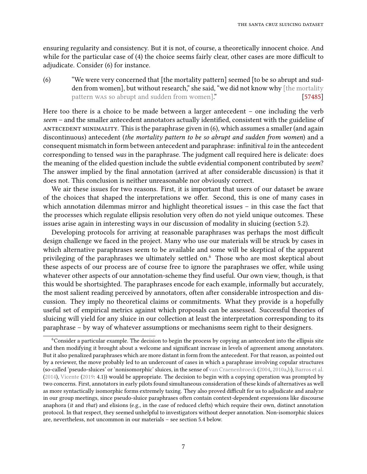ensuring regularity and consistency. But it is not, of course, a theoretically innocent choice. And while for the particular case of  $(4)$  the choice seems fairly clear, other cases are more difficult to adjudicate. Consider (6) for instance.

<span id="page-6-1"></span>(6) "We were very concerned that [the mortality pattern] seemed [to be so abrupt and sudden from women], but without research," she said, "we did not know why [the mortality pattern was so abrupt and sudden from women]." [\[57485\]](http://gramadach.net/bratv1.3/#/sluicing/data/GOLD/Feb12/57485)

Here too there is a choice to be made between a larger antecedent – one including the verb  $seem$  – and the smaller antecedent annotators actually identified, consistent with the guideline of ANTECEDENT MINIMALITY. This is the paraphrase given in (6), which assumes a smaller (and again discontinuous) antecedent (the mortality pattern to be so abrupt and sudden from women) and a consequent mismatch in form between antecedent and paraphrase: infinitival to in the antecedent corresponding to tensed was in the paraphrase. The judgment call required here is delicate: does the meaning of the elided question include the subtle evidential component contributed by seem? The answer implied by the final annotation (arrived at after considerable discussion) is that it does not. This conclusion is neither unreasonable nor obviously correct.

We air these issues for two reasons. First, it is important that users of our dataset be aware of the choices that shaped the interpretations we offer. Second, this is one of many cases in which annotation dilemmas mirror and highlight theoretical issues – in this case the fact that the processes which regulate ellipsis resolution very often do not yield unique outcomes. These issues arise again in interesting ways in our discussion of modality in sluicing (section [5.2\)](#page-13-0).

Developing protocols for arriving at reasonable paraphrases was perhaps the most difficult design challenge we faced in the project. Many who use our materials will be struck by cases in which alternative paraphrases seem to be available and some will be skeptical of the apparent privileging of the paraphrases we ultimately settled on.<sup>[6](#page-6-0)</sup> Those who are most skeptical about these aspects of our process are of course free to ignore the paraphrases we offer, while using whatever other aspects of our annotation-scheme they find useful. Our own view, though, is that this would be shortsighted. The paraphrases encode for each example, informally but accurately, the most salient reading perceived by annotators, often after considerable introspection and discussion. They imply no theoretical claims or commitments. What they provide is a hopefully useful set of empirical metrics against which proposals can be assessed. Successful theories of sluicing will yield for any sluice in our collection at least the interpretation corresponding to its paraphrase – by way of whatever assumptions or mechanisms seem right to their designers.

<span id="page-6-0"></span><sup>&</sup>lt;sup>6</sup>Consider a particular example. The decision to begin the process by copying an antecedent into the ellipsis site and then modifying it brought about a welcome and significant increase in levels of agreement among annotators. But it also penalized paraphrases which are more distant in form from the antecedent. For that reason, as pointed out by a reviewer, the move probably led to an undercount of cases in which a paraphrase involving copular structures (so-called 'pseudo-sluices' or 'nonisomorphic' sluices, in the sense of [van Craenenbroeck](#page-19-4) [\(2004,](#page-19-4) [2010a](#page-19-5)[,b\)](#page-19-6), [Barros et al.](#page-19-2) [\(2014\)](#page-19-2), [Vicente](#page-21-2) [\(2019:](#page-21-2) 4.1)) would be appropriate. The decision to begin with a copying operation was prompted by two concerns. First, annotators in early pilots found simultaneous consideration of these kinds of alternatives as well as more syntactically isomorphic forms extremely taxing. They also proved difficult for us to adjudicate and analyze in our group meetings, since pseudo-sluice paraphrases often contain context-dependent expressions like discourse anaphora (it and that) and elisions (e.g., in the case of reduced clefts) which require their own, distinct annotation protocol. In that respect, they seemed unhelpful to investigators without deeper annotation. Non-isomorphic sluices are, nevertheless, not uncommon in our materials – see section [5.4](#page-17-0) below.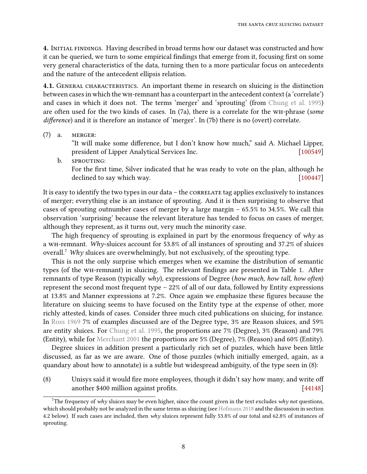4. INITIAL FINDINGS. Having described in broad terms how our dataset was constructed and how it can be queried, we turn to some empirical findings that emerge from it, focusing first on some very general characteristics of the data, turning then to a more particular focus on antecedents and the nature of the antecedent ellipsis relation.

4.1. GENERAL CHARACTERISTICS. An important theme in research on sluicing is the distinction between cases in which the wh-remnant has a counterpart in the antecedent context (a 'correlate') and cases in which it does not. The terms 'merger' and 'sprouting' (from [Chung et al.](#page-19-1) [1995\)](#page-19-1) are often used for the two kinds of cases. In (7a), there is a correlate for the wh-phrase (some difference) and it is therefore an instance of 'merger'. In (7b) there is no (overt) correlate.

(7) a. merger:

"It will make some difference, but I don't know how much," said A. Michael Lipper, president of Lipper Analytical Services Inc. [\[100549\]](http://gramadach.net/bratv1.3/#/sluicing/data/GOLD/Aug27_15/100549)

b. SPROUTING: For the first time, Silver indicated that he was ready to vote on the plan, although he declined to say which way. [\[100447\]](http://gramadach.net/bratv1.3/#/sluicing/data/GOLD/June9/100447)

It is easy to identify the two types in our data  $-$  the  $\alpha$  correlate tag applies exclusively to instances of merger; everything else is an instance of sprouting. And it is then surprising to observe that cases of sprouting outnumber cases of merger by a large margin – 65.5% to 34.5%. We call this observation 'surprising' because the relevant literature has tended to focus on cases of merger, although they represent, as it turns out, very much the minority case.

The high frequency of sprouting is explained in part by the enormous frequency of why as a wh-remnant. Why-sluices account for 53.8% of all instances of sprouting and 37.2% of sluices overall.<sup>[7](#page-7-0)</sup> Why sluices are overwhelmingly, but not exclusively, of the sprouting type.

This is not the only surprise which emerges when we examine the distribution of semantic types (of the WH-remnant) in sluicing. The relevant findings are presented in Table 1. After remnants of type Reason (typically why), expressions of Degree (how much, how tall, how often) represent the second most frequent type – 22% of all of our data, followed by Entity expressions at 13.8% and Manner expressions at 7.2%. Once again we emphasize these figures because the literature on sluicing seems to have focused on the Entity type at the expense of other, more richly attested, kinds of cases. Consider three much cited publications on sluicing, for instance. In [Ross](#page-21-0) [1969](#page-21-0) 7% of examples discussed are of the Degree type, 3% are Reason sluices, and 59% are entity sluices. For [Chung et al.](#page-19-1) [1995,](#page-19-1) the proportions are 7% (Degree), 3% (Reason) and 79% (Entity), while for [Merchant](#page-20-4) [2001](#page-20-4) the proportions are 5% (Degree), 7% (Reason) and 60% (Entity).

Degree sluices in addition present a particularly rich set of puzzles, which have been little discussed, as far as we are aware. One of those puzzles (which initially emerged, again, as a quandary about how to annotate) is a subtle but widespread ambiguity, of the type seen in (8):

 $(8)$  Unisys said it would fire more employees, though it didn't say how many, and write off another \$400 million against profits. [\[44148\]](http://gramadach.net/bratv1.3/#/sluicing/data/GOLD/Mar12/44148)

<span id="page-7-0"></span><sup>&</sup>lt;sup>7</sup>The frequency of why sluices may be even higher, since the count given in the text excludes why not questions, which should probably not be analyzed in the same terms as sluicing (see [Hofmann](#page-20-5) [2018](#page-20-5) and the discussion in section [4.2](#page-8-0) below). If such cases are included, then why sluices represent fully 53.8% of our total and 62.8% of instances of sprouting.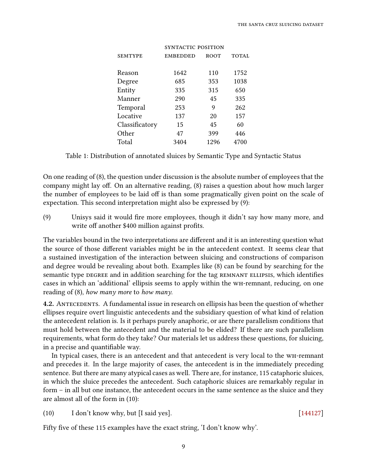| <b>EMBEDDED</b> | <b>ROOT</b> | <b>TOTAL</b>              |
|-----------------|-------------|---------------------------|
|                 |             | 1752                      |
| 685             | 353         | 1038                      |
| 335             | 315         | 650                       |
| 290             | 45          | 335                       |
| 253             | 9           | 262                       |
| 137             | 20          | 157                       |
| 15              | 45          | 60                        |
| 47              | 399         | 446                       |
| 3404            | 1296        | 4700                      |
|                 | 1642        | SYNTACTIC POSITION<br>110 |

Table 1: Distribution of annotated sluices by Semantic Type and Syntactic Status

On one reading of (8), the question under discussion is the absolute number of employees that the company might lay off. On an alternative reading, (8) raises a question about how much larger the number of employees to be laid off is than some pragmatically given point on the scale of expectation. This second interpretation might also be expressed by (9):

(9) Unisys said it would fire more employees, though it didn't say how many more, and write off another \$400 million against profits.

The variables bound in the two interpretations are different and it is an interesting question what the source of those different variables might be in the antecedent context. It seems clear that a sustained investigation of the interaction between sluicing and constructions of comparison and degree would be revealing about both. Examples like (8) can be found by searching for the semantic type DEGREE and in addition searching for the tag REMNANT ELLIPSIS, which identifies cases in which an 'additional' ellipsis seems to apply within the wh-remnant, reducing, on one reading of (8), how many more to how many.

<span id="page-8-0"></span>4.2. ANTECEDENTS. A fundamental issue in research on ellipsis has been the question of whether ellipses require overt linguistic antecedents and the subsidiary question of what kind of relation the antecedent relation is. Is it perhaps purely anaphoric, or are there parallelism conditions that must hold between the antecedent and the material to be elided? If there are such parallelism requirements, what form do they take? Our materials let us address these questions, for sluicing, in a precise and quantifiable way.

In typical cases, there is an antecedent and that antecedent is very local to the wh-remnant and precedes it. In the large majority of cases, the antecedent is in the immediately preceding sentence. But there are many atypical cases as well. There are, for instance, 115 cataphoric sluices, in which the sluice precedes the antecedent. Such cataphoric sluices are remarkably regular in form – in all but one instance, the antecedent occurs in the same sentence as the sluice and they are almost all of the form in (10):

(10) I don't know why, but [I said yes]. [\[144127\]](http://gramadach.net/bratv1.3/#/sluicing/data/GOLD/May5/144127)

Fifty five of these 115 examples have the exact string, 'I don't know why'.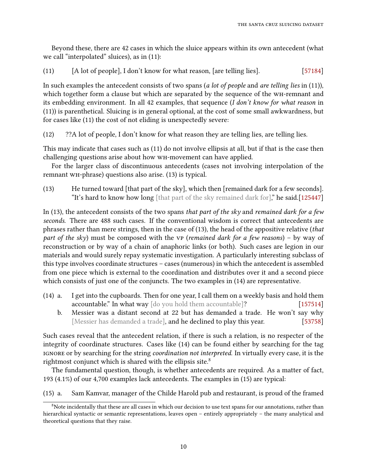Beyond these, there are 42 cases in which the sluice appears within its own antecedent (what we call "interpolated" sluices), as in (11):

(11) [A lot of people], I don't know for what reason, [are telling lies]. [\[57184\]](http://gramadach.net/bratv1.3/#/sluicing/data/GOLD/May12/57184)

In such examples the antecedent consists of two spans (a lot of people and are telling lies in  $(11)$ ), which together form a clause but which are separated by the sequence of the WH-remnant and its embedding environment. In all 42 examples, that sequence (I don't know for what reason in (11)) is parenthetical. Sluicing is in general optional, at the cost of some small awkwardness, but for cases like (11) the cost of not eliding is unexpectedly severe:

(12) ??A lot of people, I don't know for what reason they are telling lies, are telling lies.

This may indicate that cases such as (11) do not involve ellipsis at all, but if that is the case then challenging questions arise about how wh-movement can have applied.

For the larger class of discontinuous antecedents (cases not involving interpolation of the remnant wh-phrase) questions also arise. (13) is typical.

(13) He turned toward [that part of the sky], which then [remained dark for a few seconds]. "It's hard to know how long [that part of the sky remained dark for]," he said.[\[125447\]](http://gramadach.net/bratv1.3/#/sluicing/data/GOLD/May5/125447)

In (13), the antecedent consists of the two spans that part of the sky and remained dark for a few seconds. There are 488 such cases. If the conventional wisdom is correct that antecedents are phrases rather than mere strings, then in the case of (13), the head of the appositive relative (that part of the sky) must be composed with the vp (remained dark for a few reasons) – by way of reconstruction or by way of a chain of anaphoric links (or both). Such cases are legion in our materials and would surely repay systematic investigation. A particularly interesting subclass of this type involves coordinate structures – cases (numerous) in which the antecedent is assembled from one piece which is external to the coordination and distributes over it and a second piece which consists of just one of the conjuncts. The two examples in (14) are representative.

- (14) a. I get into the cupboards. Then for one year, I call them on a weekly basis and hold them accountable." In what way [do you hold them accountable]? [\[157514\]](http://gramadach.net/bratv1.3/#/sluicing/data/GOLD/Feb3_16/157514)
	- b. Messier was a distant second at 22 but has demanded a trade. He won't say why [Messier has demanded a trade], and he declined to play this year. [\[53758\]](http://gramadach.net/bratv1.3/#/sluicing/data/GOLD/Nov14_16/53758)

Such cases reveal that the antecedent relation, if there is such a relation, is no respecter of the integrity of coordinate structures. Cases like (14) can be found either by searching for the tag ignore or by searching for the string coordination not interpreted. In virtually every case, it is the rightmost conjunct which is shared with the ellipsis site.<sup>[8](#page-9-0)</sup>

The fundamental question, though, is whether antecedents are required. As a matter of fact, 193 (4.1%) of our 4,700 examples lack antecedents. The examples in (15) are typical:

(15) a. Sam Kamvar, manager of the Childe Harold pub and restaurant, is proud of the framed

<span id="page-9-0"></span><sup>&</sup>lt;sup>8</sup>Note incidentally that these are all cases in which our decision to use text spans for our annotations, rather than hierarchical syntactic or semantic representations, leaves open – entirely appropriately – the many analytical and theoretical questions that they raise.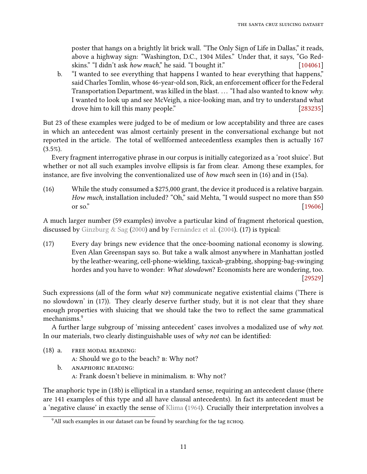poster that hangs on a brightly lit brick wall. "The Only Sign of Life in Dallas," it reads, above a highway sign: "Washington, D.C., 1304 Miles." Under that, it says, "Go Redskins." "I didn't ask *how much*," he said. "I bought it." [\[104061\]](http://gramadach.net/bratv1.3/#/sluicing/data/GOLD/Apr2/104061)

b. "I wanted to see everything that happens I wanted to hear everything that happens," said Charles Tomlin, whose 46-year-old son, Rick, an enforcement officer for the Federal Transportation Department, was killed in the blast. . . . "I had also wanted to know why. I wanted to look up and see McVeigh, a nice-looking man, and try to understand what drove him to kill this many people." [\[283235\]](http://gramadach.net/bratv1.3/#/sluicing/data/GOLD/June2/283235)

But 23 of these examples were judged to be of medium or low acceptability and three are cases in which an antecedent was almost certainly present in the conversational exchange but not reported in the article. The total of wellformed antecedentless examples then is actually 167  $(3.5\%)$ .

Every fragment interrogative phrase in our corpus is initially categorized as a 'root sluice'. But whether or not all such examples involve ellipsis is far from clear. Among these examples, for instance, are five involving the conventionalized use of how much seen in  $(16)$  and in  $(15a)$ .

(16) While the study consumed a \$275,000 grant, the device it produced is a relative bargain. How much, installation included? "Oh," said Mehta, "I would suspect no more than \$50 or so."  $[19606]$ 

<span id="page-10-1"></span>A much larger number (59 examples) involve a particular kind of fragment rhetorical question, discussed by [Ginzburg & Sag](#page-19-7) [\(2000\)](#page-19-7) and by [Fernández et al.](#page-19-8) [\(2004\)](#page-19-8). (17) is typical:

(17) Every day brings new evidence that the once-booming national economy is slowing. Even Alan Greenspan says so. But take a walk almost anywhere in Manhattan jostled by the leather-wearing, cell-phone-wielding, taxicab-grabbing, shopping-bag-swinging hordes and you have to wonder: What slowdown? Economists here are wondering, too. [\[29529\]](http://gramadach.net/bratv1.3/#/sluicing/data/GOLD/Mar13_17/29529)

Such expressions (all of the form what NP) communicate negative existential claims ('There is no slowdown' in (17)). They clearly deserve further study, but it is not clear that they share enough properties with sluicing that we should take the two to reflect the same grammatical mechanisms.[9](#page-10-0)

A further large subgroup of 'missing antecedent' cases involves a modalized use of why not. In our materials, two clearly distinguishable uses of  $why$  not can be identified:

- (18) a. free modal reading:
	- a: Should we go to the beach? b: Why not?
	- b. anaphoric reading: a: Frank doesn't believe in minimalism. b: Why not?

The anaphoric type in (18b) is elliptical in a standard sense, requiring an antecedent clause (there are 141 examples of this type and all have clausal antecedents). In fact its antecedent must be a 'negative clause' in exactly the sense of [Klima](#page-20-6) [\(1964\)](#page-20-6). Crucially their interpretation involves a

<span id="page-10-0"></span><sup>&</sup>lt;sup>9</sup>All such examples in our dataset can be found by searching for the tag ECHOQ.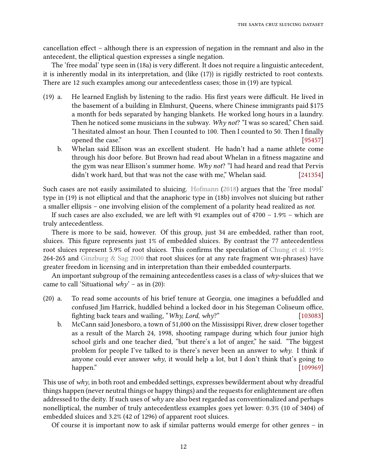cancellation effect – although there is an expression of negation in the remnant and also in the antecedent, the elliptical question expresses a single negation.

The 'free modal' type seen in (18a) is very different. It does not require a linguistic antecedent, it is inherently modal in its interpretation, and (like [\(17\)\)](#page-10-1) is rigidly restricted to root contexts. There are 12 such examples among our antecedentless cases; those in (19) are typical.

- $(19)$  a. He learned English by listening to the radio. His first years were difficult. He lived in the basement of a building in Elmhurst, Queens, where Chinese immigrants paid \$175 a month for beds separated by hanging blankets. He worked long hours in a laundry. Then he noticed some musicians in the subway. Why not? "I was so scared," Chen said. "I hesitated almost an hour. Then I counted to 100. Then I counted to 50. Then I finally opened the case." [\[95457\]](http://gramadach.net/bratv1.3/#/sluicing/data/GOLD/Mar2_16/95457)
	- b. Whelan said Ellison was an excellent student. He hadn't had a name athlete come through his door before. But Brown had read about Whelan in a fitness magazine and the gym was near Ellison's summer home. Why not? "I had heard and read that Pervis didn't work hard, but that was not the case with me," Whelan said. [\[241354\]](http://gramadach.net/bratv1.3/#/sluicing/data/GOLD/Sep07_16/241354)

Such cases are not easily assimilated to sluicing. [Hofmann](#page-20-5) [\(2018\)](#page-20-5) argues that the 'free modal' type in (19) is not elliptical and that the anaphoric type in (18b) involves not sluicing but rather a smaller ellipsis – one involving elision of the complement of a polarity head realized as not.

If such cases are also excluded, we are left with 91 examples out of 4700 – 1.9% – which are truly antecedentless.

There is more to be said, however. Of this group, just 34 are embedded, rather than root, sluices. This figure represents just 1% of embedded sluices. By contrast the 77 antecedentless root sluices represent 5.9% of root sluices. This confirms the speculation of [Chung et al.](#page-19-1) [1995:](#page-19-1) 264-265 and [Ginzburg & Sag](#page-19-7) [2000](#page-19-7) that root sluices (or at any rate fragment wh-phrases) have greater freedom in licensing and in interpretation than their embedded counterparts.

An important subgroup of the remaining antecedentless cases is a class of  $why$ -sluices that we came to call 'Situational  $why'$  – as in (20):

- (20) a. To read some accounts of his brief tenure at Georgia, one imagines a befuddled and confused Jim Harrick, huddled behind a locked door in his Stegeman Coliseum office, fighting back tears and wailing, "*Why, Lord, why?*" [\[103083\]](http://gramadach.net/bratv1.3/#/sluicing/data/GOLD/Feb27_17/103083)
	- b. McCann said Jonesboro, a town of 51,000 on the Mississippi River, drew closer together as a result of the March 24, 1998, shooting rampage during which four junior high school girls and one teacher died, "but there's a lot of anger," he said. "The biggest problem for people I've talked to is there's never been an answer to why. I think if anyone could ever answer  $why$ , it would help a lot, but I don't think that's going to happen." [\[109969\]](http://gramadach.net/bratv1.3/#/sluicing/data/GOLD/June01_16/109969)

This use of why, in both root and embedded settings, expresses bewilderment about why dreadful things happen (never neutral things or happy things) and the requests for enlightenment are often addressed to the deity. If such uses of why are also best regarded as conventionalized and perhaps nonelliptical, the number of truly antecedentless examples goes yet lower: 0.3% (10 of 3404) of embedded sluices and 3.2% (42 of 1296) of apparent root sluices.

Of course it is important now to ask if similar patterns would emerge for other genres – in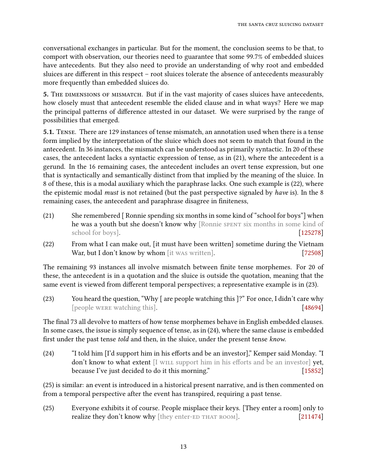conversational exchanges in particular. But for the moment, the conclusion seems to be that, to comport with observation, our theories need to guarantee that some 99.7% of embedded sluices have antecedents. But they also need to provide an understanding of why root and embedded sluices are different in this respect – root sluices tolerate the absence of antecedents measurably more frequently than embedded sluices do.

5. THE DIMENSIONS OF MISMATCH. But if in the vast majority of cases sluices have antecedents, how closely must that antecedent resemble the elided clause and in what ways? Here we map the principal patterns of difference attested in our dataset. We were surprised by the range of possibilities that emerged.

5.1. Tense. There are 129 instances of tense mismatch, an annotation used when there is a tense form implied by the interpretation of the sluice which does not seem to match that found in the antecedent. In 36 instances, the mismatch can be understood as primarily syntactic. In 20 of these cases, the antecedent lacks a syntactic expression of tense, as in [\(21\),](#page-12-0) where the antecedent is a gerund. In the 16 remaining cases, the antecedent includes an overt tense expression, but one that is syntactically and semantically distinct from that implied by the meaning of the sluice. In 8 of these, this is a modal auxiliary which the paraphrase lacks. One such example is [\(22\),](#page-12-1) where the epistemic modal must is not retained (but the past perspective signaled by have is). In the 8 remaining cases, the antecedent and paraphrase disagree in finiteness,

- <span id="page-12-0"></span>(21) She remembered [ Ronnie spending six months in some kind of "school for boys"] when he was a youth but she doesn't know why [Ronnie SPENT six months in some kind of school for boys]. [\[125278\]](http://gramadach.net/bratv1.3/#/sluicing/data/GOLD/Mar5/125278)
- <span id="page-12-1"></span>(22) From what I can make out, [it must have been written] sometime during the Vietnam War, but I don't know by whom [it was written]. [\[72508\]](http://gramadach.net/bratv1.3/#/sluicing/data/GOLD/Sep10_15/72508)

<span id="page-12-2"></span>The remaining 93 instances all involve mismatch between finite tense morphemes. For 20 of these, the antecedent is in a quotation and the sluice is outside the quotation, meaning that the same event is viewed from different temporal perspectives; a representative example is in [\(23\).](#page-12-2)

(23) You heard the question, "Why [ are people watching this ]?" For once, I didn't care why [people were watching this]. [\[48694\]](http://gramadach.net/bratv1.3/#/sluicing/data/GOLD/Nov3_15/48694)

<span id="page-12-3"></span>The final 73 all devolve to matters of how tense morphemes behave in English embedded clauses. In some cases, the issue is simply sequence of tense, as in [\(24\),](#page-12-3) where the same clause is embedded first under the past tense *told* and then, in the sluice, under the present tense know.

 $(24)$  "I told him [I'd support him in his efforts and be an investor]," Kemper said Monday. "I don't know to what extent [I will support him in his efforts and be an investor] yet, because I've just decided to do it this morning." [\[15852\]](http://gramadach.net/bratv1.3/#/sluicing/data/GOLD/Sep10_15/15852)

[\(25\)](#page-12-4) is similar: an event is introduced in a historical present narrative, and is then commented on from a temporal perspective after the event has transpired, requiring a past tense.

<span id="page-12-4"></span>(25) Everyone exhibits it of course. People misplace their keys. [They enter a room] only to realize they don't know why [they enter-ED THAT ROOM]. [\[211474\]](http://gramadach.net/bratv1.3/#/sluicing/data/GOLD/June22/211474)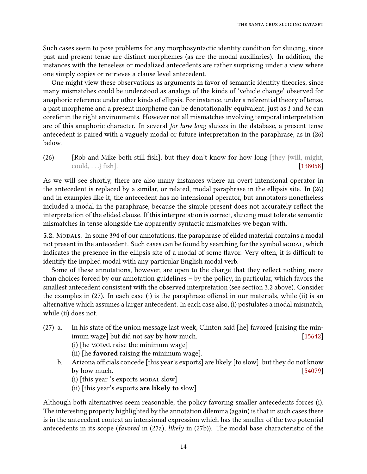Such cases seem to pose problems for any morphosyntactic identity condition for sluicing, since past and present tense are distinct morphemes (as are the modal auxiliaries). In addition, the instances with the tenseless or modalized antecedents are rather surprising under a view where one simply copies or retrieves a clause level antecedent.

One might view these observations as arguments in favor of semantic identity theories, since many mismatches could be understood as analogs of the kinds of 'vehicle change' observed for anaphoric reference under other kinds of ellipsis. For instance, under a referential theory of tense, a past morpheme and a present morpheme can be denotationally equivalent, just as  $I$  and he can corefer in the right environments. However not all mismatches involving temporal interpretation are of this anaphoric character. In several for how long sluices in the database, a present tense antecedent is paired with a vaguely modal or future interpretation in the paraphrase, as in [\(26\)](#page-13-1) below.

<span id="page-13-1"></span>(26) [Rob and Mike both still fish], but they don't know for how long [they {will, might,  $\text{could}, \ldots$  fish]. [\[138058\]](http://gramadach.net/bratv1.3/#/sluicing/data/GOLD/Oct6_15/138058)

As we will see shortly, there are also many instances where an overt intensional operator in the antecedent is replaced by a similar, or related, modal paraphrase in the ellipsis site. In (26) and in examples like it, the antecedent has no intensional operator, but annotators nonetheless included a modal in the paraphrase, because the simple present does not accurately reflect the interpretation of the elided clause. If this interpretation is correct, sluicing must tolerate semantic mismatches in tense alongside the apparently syntactic mismatches we began with.

<span id="page-13-0"></span>5.2. Modals. In some 394 of our annotations, the paraphrase of elided material contains a modal not present in the antecedent. Such cases can be found by searching for the symbol MODAL, which indicates the presence in the ellipsis site of a modal of some flavor. Very often, it is difficult to identify the implied modal with any particular English modal verb.

Some of these annotations, however, are open to the charge that they reflect nothing more than choices forced by our annotation guidelines – by the policy, in particular, which favors the smallest antecedent consistent with the observed interpretation (see section [3.2](#page-4-1) above). Consider the examples in  $(27)$ . In each case  $(i)$  is the paraphrase offered in our materials, while  $(ii)$  is an alternative which assumes a larger antecedent. In each case also, (i) postulates a modal mismatch, while (ii) does not.

- (27) a. In his state of the union message last week, Clinton said [he] favored [raising the minimum wage] but did not say by how much. [\[15642\]](http://gramadach.net/bratv1.3/#/sluicing/data/GOLD/Feb19/15642)  $(i)$  [he MODAL raise the minimum wage]
	- (ii) [he favored raising the minimum wage].
	- b. Arizona officials concede [this year's exports] are likely [to slow], but they do not know by how much. [\[54079\]](http://gramadach.net/bratv1.3/#/sluicing/data/GOLD/Feb26/54079)
		- $(i)$  [this year 's exports MODAL slow]
		- (ii) [this year's exports are likely to slow]

Although both alternatives seem reasonable, the policy favoring smaller antecedents forces (i). The interesting property highlighted by the annotation dilemma (again) is that in such cases there is in the antecedent context an intensional expression which has the smaller of the two potential antecedents in its scope (favored in  $(27a)$ , likely in  $(27b)$ ). The modal base characteristic of the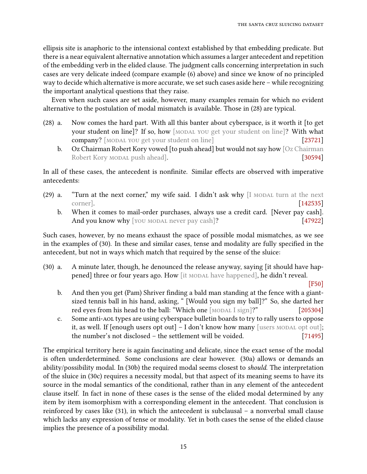ellipsis site is anaphoric to the intensional context established by that embedding predicate. But there is a near equivalent alternative annotation which assumes a larger antecedent and repetition of the embedding verb in the elided clause. The judgment calls concerning interpretation in such cases are very delicate indeed (compare example [\(6\)](#page-6-1) above) and since we know of no principled way to decide which alternative is more accurate, we set such cases aside here – while recognizing the important analytical questions that they raise.

Even when such cases are set aside, however, many examples remain for which no evident alternative to the postulation of modal mismatch is available. Those in (28) are typical.

- (28) a. Now comes the hard part. With all this banter about cyberspace, is it worth it [to get your student on line]? If so, how [MODAL YOU get your student on line]? With what company? [MODAL YOU get your student on line] [\[23721\]](http://gramadach.net/bratv1.3/#/sluicing/data/GOLD/Jan20_16/23721)
	- b. Oz Chairman Robert Kory vowed [to push ahead] but would not say how [Oz Chairman Robert Kory MODAL push ahead]. [\[30594\]](http://gramadach.net/bratv1.3/#/sluicing/data/GOLD/Jan06_16/30594)

In all of these cases, the antecedent is nonfinite. Similar effects are observed with imperative antecedents:

- (29) a. "Turn at the next corner," my wife said. I didn't ask why  $[I \text{ MODAL turn at the next})$ corner]. [\[142535\]](http://gramadach.net/bratv1.3/#/sluicing/data/GOLD/Nov3_15/142535)
	- b. When it comes to mail-order purchases, always use a credit card. [Never pay cash]. And you know why [you MODAL never pay cash]? [\[47922\]](http://gramadach.net/bratv1.3/#/sluicing/data/GOLD/Mar12/47922)

Such cases, however, by no means exhaust the space of possible modal mismatches, as we see in the examples of (30). In these and similar cases, tense and modality are fully specified in the antecedent, but not in ways which match that required by the sense of the sluice:

(30) a. A minute later, though, he denounced the release anyway, saying [it should have happened] three or four years ago. How [it MODAL have happened], he didn't reveal.

[\[F50\]](http://gramadach.net/bratv1.3/#/sluicing/data/GOLD/OtherSources/F50)

- b. And then you get (Pam) Shriver finding a bald man standing at the fence with a giantsized tennis ball in his hand, asking, " [Would you sign my ball]?" So, she darted her red eyes from his head to the ball: "Which one [MODAL I sign]?" [\[205304\]](http://gramadach.net/bratv1.3/#/sluicing/data/GOLD/Jan13_16/205304)
- c. Some anti-aol types are using cyberspace bulletin boards to try to rally users to oppose it, as well. If [enough users opt out]  $- I$  don't know how many [users MODAL opt out]; the number's not disclosed – the settlement will be voided. [\[71495\]](http://gramadach.net/bratv1.3/#/sluicing/data/GOLD/May5/71495)

The empirical territory here is again fascinating and delicate, since the exact sense of the modal is often underdetermined. Some conclusions are clear however. (30a) allows or demands an ability/possibility modal. In (30b) the required modal seems closest to should. The interpretation of the sluice in (30c) requires a necessity modal, but that aspect of its meaning seems to have its source in the modal semantics of the conditional, rather than in any element of the antecedent clause itself. In fact in none of these cases is the sense of the elided modal determined by any item by item isomorphism with a corresponding element in the antecedent. That conclusion is reinforced by cases like (31), in which the antecedent is subclausal – a nonverbal small clause which lacks any expression of tense or modality. Yet in both cases the sense of the elided clause implies the presence of a possibility modal.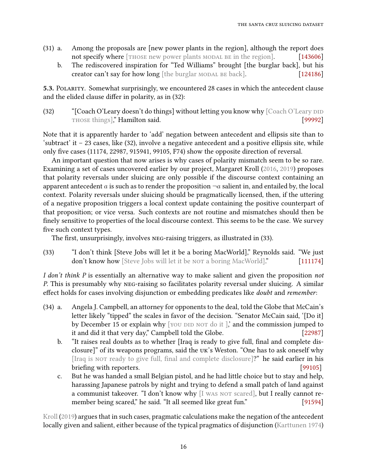- (31) a. Among the proposals are [new power plants in the region], although the report does not specify where [THOSE new power plants MODAL BE in the region]. [\[143606\]](http://gramadach.net/bratv1.3/#/sluicing/data/GOLD/Nov24_15/143606)
	- b. The rediscovered inspiration for "Ted Williams" brought [the burglar back], but his creator can't say for how long [the burglar MODAL BE back]. [\[124186\]](http://gramadach.net/bratv1.3/#/sluicing/data/GOLD/Feb19/124186)

5.3. POLARITY. Somewhat surprisingly, we encountered 28 cases in which the antecedent clause and the elided clause differ in polarity, as in  $(32)$ :

<span id="page-15-0"></span>(32) "[Coach O'Leary doesn't do things] without letting you know why  $[Coach O'Leary DID]$ THOSE things]," Hamilton said. [\[99992\]](http://gramadach.net/bratv1.3/#/sluicing/data/GOLD/Nov3_15/99992)

Note that it is apparently harder to 'add' negation between antecedent and ellipsis site than to 'subtract' it – 23 cases, like [\(32\),](#page-15-0) involve a negative antecedent and a positive ellipsis site, while only five cases (11174, 22987, 915941, 99105, F74) show the opposite direction of reversal.

An important question that now arises is why cases of polarity mismatch seem to be so rare. Examining a set of cases uncovered earlier by our project, Margaret Kroll [\(2016,](#page-20-7) [2019\)](#page-20-8) proposes that polarity reversals under sluicing are only possible if the discourse context containing an apparent antecedent a is such as to render the proposition  $\neg a$  salient in, and entailed by, the local context. Polarity reversals under sluicing should be pragmatically licensed, then, if the uttering of a negative proposition triggers a local context update containing the positive counterpart of that proposition; or vice versa. Such contexts are not routine and mismatches should then be finely sensitive to properties of the local discourse context. This seems to be the case. We survey five such context types.

<span id="page-15-1"></span>The first, unsurprisingly, involves NEG-raising triggers, as illustrated in [\(33\).](#page-15-1)

(33) "I don't think [Steve Jobs will let it be a boring MacWorld]," Reynolds said. "We just don't know how [Steve Jobs will let it be nor a boring MacWorld]." [\[111174\]](http://gramadach.net/bratv1.3/#/sluicing/data/GOLD/Nov3_15/111174)

I don't think P is essentially an alternative way to make salient and given the proposition not P. This is presumably why neg-raising so facilitates polarity reversal under sluicing. A similar effect holds for cases involving disjunction or embedding predicates like *doubt* and *remember*:

- (34) a. Angela J. Campbell, an attorney for opponents to the deal, told the Globe that McCain's letter likely "tipped" the scales in favor of the decision. "Senator McCain said, '[Do it] by December 15 or explain why  $[$  you did not do it  $]$ , and the commission jumped to it and did it that very day," Campbell told the Globe. [\[22987\]](http://gramadach.net/bratv1.3/#/sluicing/data/GOLD/Nov3_15/22987)
	- b. "It raises real doubts as to whether [Iraq is ready to give full, final and complete disclosure]" of its weapons programs, said the uk's Weston. "One has to ask oneself why [Iraq is not ready to give full, final and complete disclosure]?" he said earlier in his briefing with reporters. [\[99105\]](http://gramadach.net/bratv1.3/#/sluicing/data/GOLD/Apr23/99105)
	- c. But he was handed a small Belgian pistol, and he had little choice but to stay and help, harassing Japanese patrols by night and trying to defend a small patch of land against a communist takeover. "I don't know why [I was not scared], but I really cannot re-member being scared," he said. "It all seemed like great fun." [\[91594\]](http://gramadach.net/bratv1.3/#/sluicing/data/GOLD/Oct6_15/91594)

[Kroll](#page-20-8) [\(2019\)](#page-20-8) argues that in such cases, pragmatic calculations make the negation of the antecedent locally given and salient, either because of the typical pragmatics of disjunction [\(Karttunen](#page-20-9) [1974\)](#page-20-9)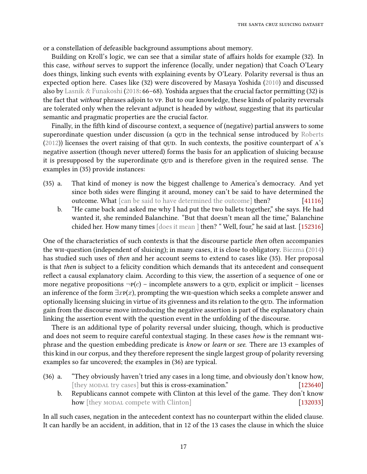or a constellation of defeasible background assumptions about memory.

Building on Kroll's logic, we can see that a similar state of affairs holds for example [\(32\).](#page-15-0) In this case, without serves to support the inference (locally, under negation) that Coach O'Leary does things, linking such events with explaining events by O'Leary. Polarity reversal is thus an expected option here. Cases like [\(32\)](#page-15-0) were discovered by Masaya Yoshida [\(2010\)](#page-21-3) and discussed also by [Lasnik & Funakoshi](#page-20-10) [\(2018:](#page-20-10) 66–68). Yoshida argues that the crucial factor permitting [\(32\)](#page-15-0) is the fact that without phrases adjoin to vp. But to our knowledge, these kinds of polarity reversals are tolerated only when the relevant adjunct is headed by without, suggesting that its particular semantic and pragmatic properties are the crucial factor.

Finally, in the fifth kind of discourse context, a sequence of (negative) partial answers to some superordinate question under discussion (a QUD in the technical sense introduced by [Roberts](#page-20-2)  $(2012)$ ) licenses the overt raising of that QUD. In such contexts, the positive counterpart of A's negative assertion (though never uttered) forms the basis for an application of sluicing because it is presupposed by the superordinate QUD and is therefore given in the required sense. The examples in (35) provide instances:

- <span id="page-16-0"></span>(35) a. That kind of money is now the biggest challenge to America's democracy. And yet since both sides were flinging it around, money can't be said to have determined the outcome. What [can be said to have determined the outcome] then? [\[41116\]](http://gramadach.net/bratv1.3/#/sluicing/data/GOLD/Mar20_17/41116)
	- b. "He came back and asked me why I had put the two ballets together," she says. He had wanted it, she reminded Balanchine. "But that doesn't mean all the time," Balanchine chided her. How many times [does it mean ] then? " Well, four," he said at last. [\[152316\]](http://gramadach.net/bratv1.3/#/sluicing/data/GOLD/June01_16/152316)

One of the characteristics of such contexts is that the discourse particle then often accompanies the wh-question (independent of sluicing); in many cases, it is close to obligatory. [Biezma](#page-19-9) [\(2014\)](#page-19-9) has studied such uses of then and her account seems to extend to cases like [\(35\).](#page-16-0) Her proposal is that then is subject to a felicity condition which demands that its antecedent and consequent reflect a causal explanatory claim. According to this view, the assertion of a sequence of one or more negative propositions  $\neg P(c)$  – incomplete answers to a QUD, explicit or implicit – licenses an inference of the form  $\exists x p(x)$ , prompting the wH-question which seeks a complete answer and optionally licensing sluicing in virtue of its givenness and its relation to the QUD. The information gain from the discourse move introducing the negative assertion is part of the explanatory chain linking the assertion event with the question event in the unfolding of the discourse.

There is an additional type of polarity reversal under sluicing, though, which is productive and does not seem to require careful contextual staging. In these cases how is the remnant whphrase and the question embedding predicate is know or learn or see. There are 13 examples of this kind in our corpus, and they therefore represent the single largest group of polarity reversing examples so far uncovered; the examples in (36) are typical.

- <span id="page-16-1"></span>(36) a. "They obviously haven't tried any cases in a long time, and obviously don't know how, [they MODAL try cases] but this is cross-examination." [\[123640\]](http://gramadach.net/bratv1.3/#/sluicing/data/GOLD/Feb19/123640)
	- b. Republicans cannot compete with Clinton at this level of the game. They don't know how [they modal compete with Clinton] [\[132033\]](http://gramadach.net/bratv1.3/#/sluicing/data/GOLD/Sep29_15/132033)

In all such cases, negation in the antecedent context has no counterpart within the elided clause. It can hardly be an accident, in addition, that in 12 of the 13 cases the clause in which the sluice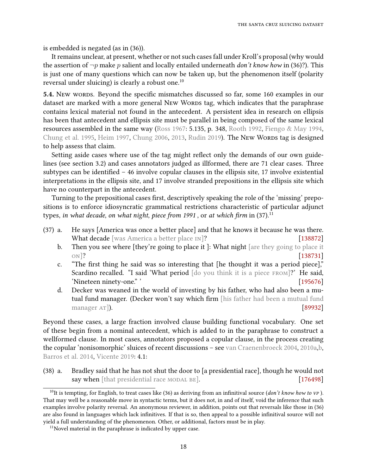is embedded is negated (as in (36)).

It remains unclear, at present, whether or not such cases fall under Kroll's proposal (why would the assertion of  $\neg p$  make p salient and locally entailed underneath *don't know how* in (36)?). This is just one of many questions which can now be taken up, but the phenomenon itself (polarity reversal under sluicing) is clearly a robust one.<sup>[10](#page-17-1)</sup>

<span id="page-17-0"></span>5.4. New words. Beyond the specific mismatches discussed so far, some 160 examples in our dataset are marked with a more general New Words tag, which indicates that the paraphrase contains lexical material not found in the antecedent. A persistent idea in research on ellipsis has been that antecedent and ellipsis site must be parallel in being composed of the same lexical resources assembled in the same way [\(Ross](#page-20-11) [1967:](#page-20-11) 5.135, p. 348, [Rooth](#page-20-12) [1992,](#page-20-12) [Fiengo & May](#page-19-10) [1994,](#page-19-10) [Chung et al.](#page-19-1) [1995,](#page-19-1) [Heim](#page-20-13) [1997,](#page-20-13) [Chung](#page-19-11) [2006,](#page-19-11) [2013,](#page-19-12) [Rudin](#page-21-4) [2019\)](#page-21-4). The New Words tag is designed to help assess that claim.

Setting aside cases where use of the tag might reflect only the demands of our own guidelines (see section [3.2\)](#page-4-1) and cases annotators judged as illformed, there are 71 clear cases. Three subtypes can be identified  $-46$  involve copular clauses in the ellipsis site, 17 involve existential interpretations in the ellipsis site, and 17 involve stranded prepositions in the ellipsis site which have no counterpart in the antecedent.

Turning to the prepositional cases first, descriptively speaking the role of the 'missing' prepositions is to enforce idiosyncratic grammatical restrictions characteristic of particular adjunct types, in what decade, on what night, piece from 1991, or at which firm in [\(37\).](#page-17-2)<sup>[11](#page-17-3)</sup>

- <span id="page-17-2"></span>(37) a. He says [America was once a better place] and that he knows it because he was there. What decade [was America a better place IN]? [\[138872\]](http://gramadach.net/bratv1.3/#/sluicing/data/GOLD/Feb3_16/138872)
	- b. Then you see where [they're going to place it ]: What night [are they going to place it on]? [\[138731\]](http://gramadach.net/bratv1.3/#/sluicing/data/GOLD/Feb3_16/138731)
	- c. "The first thing he said was so interesting that [he thought it was a period piece]," Scardino recalled. "I said 'What period [do you think it is a piece FROM]?' He said, 'Nineteen ninety-one." ' contract the set of the set of the set of the set of the set of the set of the set of the set of the set of the set of the set of the set of the set of the set of the set of the set of the set of t
	- d. Decker was weaned in the world of investing by his father, who had also been a mutual fund manager. (Decker won't say which firm [his father had been a mutual fund manager AT]). [\[89932\]](http://gramadach.net/bratv1.3/#/sluicing/data/GOLD/Sep10_15/89932)

Beyond these cases, a large fraction involved clause building functional vocabulary. One set of these begin from a nominal antecedent, which is added to in the paraphrase to construct a wellformed clause. In most cases, annotators proposed a copular clause, in the process creating the copular 'nonisomorphic' sluices of recent discussions – see [van Craenenbroeck](#page-19-4) [2004,](#page-19-4) [2010a](#page-19-5)[,b,](#page-19-6) [Barros et al.](#page-19-2) [2014,](#page-19-2) [Vicente](#page-21-2) [2019:](#page-21-2) 4.1:

(38) a. Bradley said that he has not shut the door to [a presidential race], though he would not say when [that presidential race MODAL BE]. [\[176498\]](http://gramadach.net/bratv1.3/#/sluicing/data/GOLD/Apr2/176498)

<span id="page-17-1"></span><sup>&</sup>lt;sup>10</sup>It is tempting, for English, to treat cases like [\(36\)](#page-16-1) as deriving from an infinitival source (don't know how to vp). That may well be a reasonable move in syntactic terms, but it does not, in and of itself, void the inference that such examples involve polarity reversal. An anonymous reviewer, in addition, points out that reversals like those in [\(36\)](#page-16-1) are also found in languages which lack infinitives. If that is so, then appeal to a possible infinitival source will not yield a full understanding of the phenomenon. Other, or additional, factors must be in play.

<span id="page-17-3"></span> $11$ Novel material in the paraphrase is indicated by upper case.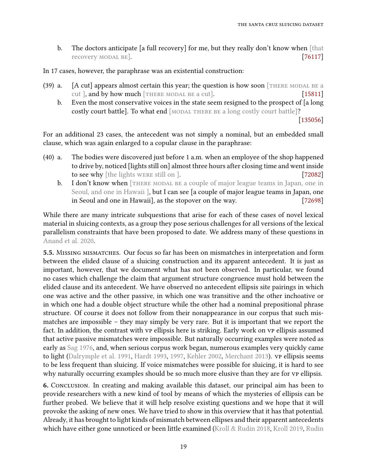b. The doctors anticipate [a full recovery] for me, but they really don't know when [that recovery MODAL BE]. [\[76117\]](http://gramadach.net/bratv1.3/#/sluicing/data/GOLD/Oct27_15/76117)

In 17 cases, however, the paraphrase was an existential construction:

- (39) a.  $[A \text{ cut}]$  appears almost certain this year; the question is how soon [THERE MODAL BE a cut ], and by how much  $[THEOREMODAL BE a cut]$ . [\[15811\]](http://gramadach.net/bratv1.3/#/sluicing/data/GOLD/Aug16_16/15811)
	- b. Even the most conservative voices in the state seem resigned to the prospect of [a long costly court battle]. To what end [MODAL THERE BE a long costly court battle]?

[\[135056\]](http://gramadach.net/bratv1.3/#/sluicing/data/GOLD/Mar2_16/135056)

For an additional 23 cases, the antecedent was not simply a nominal, but an embedded small clause, which was again enlarged to a copular clause in the paraphrase:

- (40) a. The bodies were discovered just before 1 a.m. when an employee of the shop happened to drive by, noticed [lights still on] almost three hours after closing time and went inside to see why [the lights were still on ]. [\[72082\]](http://gramadach.net/bratv1.3/#/sluicing/data/GOLD/Nov12_15/72082)
	- b. I don't know when [THERE MODAL BE a couple of major league teams in Japan, one in Seoul, and one in Hawaii ], but I can see [a couple of major league teams in Japan, one in Seoul and one in Hawaii], as the stopover on the way. [\[72698\]](http://gramadach.net/bratv1.3/#/sluicing/data/GOLD/Feb19/72698)

While there are many intricate subquestions that arise for each of these cases of novel lexical material in sluicing contexts, as a group they pose serious challenges for all versions of the lexical parallelism constraints that have been proposed to date. We address many of these questions in [Anand et al.](#page-19-13) [2020.](#page-19-13)

5.5. Missing mismatches. Our focus so far has been on mismatches in interpretation and form between the elided clause of a sluicing construction and its apparent antecedent. It is just as important, however, that we document what has not been observed. In particular, we found no cases which challenge the claim that argument structure congruence must hold between the elided clause and its antecedent. We have observed no antecedent ellipsis site pairings in which one was active and the other passive, in which one was transitive and the other inchoative or in which one had a double object structure while the other had a nominal prepositional phrase structure. Of course it does not follow from their nonappearance in our corpus that such mismatches are impossible – they may simply be very rare. But it is important that we report the fact. In addition, the contrast with vp ellipsis here is striking. Early work on vp ellipsis assumed that active passive mismatches were impossible. But naturally occurring examples were noted as early as [Sag](#page-21-5) [1976,](#page-21-5) and, when serious corpus work began, numerous examples very quickly came to light [\(Dalrymple et al.](#page-19-14) [1991,](#page-19-14) [Hardt](#page-20-14) [1993,](#page-20-14) [1997,](#page-20-15) [Kehler](#page-20-16) [2002,](#page-20-16) [Merchant](#page-20-17) [2013\)](#page-20-17). vp ellipsis seems to be less frequent than sluicing. If voice mismatches were possible for sluicing, it is hard to see why naturally occurring examples should be so much more elusive than they are for vp ellipsis.

6. Conclusion. In creating and making available this dataset, our principal aim has been to provide researchers with a new kind of tool by means of which the mysteries of ellipsis can be further probed. We believe that it will help resolve existing questions and we hope that it will provoke the asking of new ones. We have tried to show in this overview that it has that potential. Already, it has brought to light kinds of mismatch between ellipses and their apparent antecedents which have either gone unnoticed or been little examined [\(Kroll & Rudin](#page-20-18) [2018,](#page-20-18) [Kroll](#page-20-8) [2019,](#page-20-8) [Rudin](#page-21-4)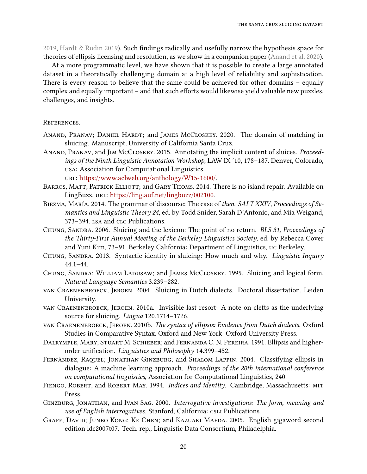$2019$ , [Hardt & Rudin](#page-20-19) [2019\)](#page-20-19). Such findings radically and usefully narrow the hypothesis space for theories of ellipsis licensing and resolution, as we show in a companion paper [\(Anand et al.](#page-19-13) [2020\)](#page-19-13).

At a more programmatic level, we have shown that it is possible to create a large annotated dataset in a theoretically challenging domain at a high level of reliability and sophistication. There is every reason to believe that the same could be achieved for other domains – equally complex and equally important - and that such efforts would likewise yield valuable new puzzles, challenges, and insights.

## **REFERENCES**

- <span id="page-19-13"></span>ANAND, PRANAV; DANIEL HARDT; and JAMES McCLOSKEY. 2020. The domain of matching in sluicing. Manuscript, University of California Santa Cruz.
- <span id="page-19-3"></span>Anand, Pranav, and Jim McCloskey. 2015. Annotating the implicit content of sluices. Proceedings of the Ninth Linguistic Annotation Workshop, LAW IX '10, 178–187. Denver, Colorado, usa: Association for Computational Linguistics.

url: [https://www.aclweb.org/anthology/W15-1600/.](https://www.aclweb.org/anthology/W15-1600/)

- <span id="page-19-2"></span>BARROS, MATT; PATRICK ELLIOTT; and GARY THOMS. 2014. There is no island repair. Available on LingBuzz. url: [https://ling.auf.net/lingbuzz/002100.](https://ling.auf.net/lingbuzz/002100)
- <span id="page-19-9"></span>Biezma, María. 2014. The grammar of discourse: The case of then. SALT XXIV, Proceedings of Semantics and Linguistic Theory 24, ed. by Todd Snider, Sarah D'Antonio, and Mia Weigand, 373-394. LSA and CLC Publications.
- <span id="page-19-11"></span>CHUNG, SANDRA. 2006. Sluicing and the lexicon: The point of no return. BLS 31, Proceedings of the Thirty-First Annual Meeting of the Berkeley Linguistics Society, ed. by Rebecca Cover and Yuni Kim, 73–91. Berkeley California: Department of Linguistics, uc Berkeley.
- <span id="page-19-12"></span>CHUNG, SANDRA. 2013. Syntactic identity in sluicing: How much and why. Linguistic Inquiry 44.1–44.
- <span id="page-19-1"></span>Chung, Sandra; William Ladusaw; and James McCloskey. 1995. Sluicing and logical form. Natural Language Semantics 3.239–282.
- <span id="page-19-4"></span>van Craenenbroeck, Jeroen. 2004. Sluicing in Dutch dialects. Doctoral dissertation, Leiden University.
- <span id="page-19-5"></span>van Craenenbroeck, Jeroen. 2010a. Invisible last resort: A note on clefts as the underlying source for sluicing. Lingua 120.1714–1726.
- <span id="page-19-6"></span>van Craenenbroeck, Jeroen. 2010b. The syntax of ellipsis: Evidence from Dutch dialects. Oxford Studies in Comparative Syntax. Oxford and New York: Oxford University Press.
- <span id="page-19-14"></span>Dalrymple, Mary; Stuart M. Schieber; and Fernanda C. N. Pereira. 1991. Ellipsis and higherorder unification. Linguistics and Philosophy 14.399-452.
- <span id="page-19-8"></span>FERNÁNDEZ, RAQUEL; JONATHAN GINZBURG; and SHALOM LAPPIN. 2004. Classifying ellipsis in dialogue: A machine learning approach. Proceedings of the 20th international conference on computational linguistics, Association for Computational Linguistics, 240.
- <span id="page-19-10"></span>FIENGO, ROBERT, and ROBERT MAY. 1994. Indices and identity. Cambridge, Massachusetts: MIT Press.
- <span id="page-19-7"></span>Ginzburg, Jonathan, and Ivan Sag. 2000. Interrogative investigations: The form, meaning and use of English interrogatives. Stanford, California: CSLI Publications.
- <span id="page-19-0"></span>GRAFF, DAVID; JUNBO KONG; KE CHEN; and KAZUAKI MAEDA. 2005. English gigaword second edition ldc2007t07. Tech. rep., Linguistic Data Consortium, Philadelphia.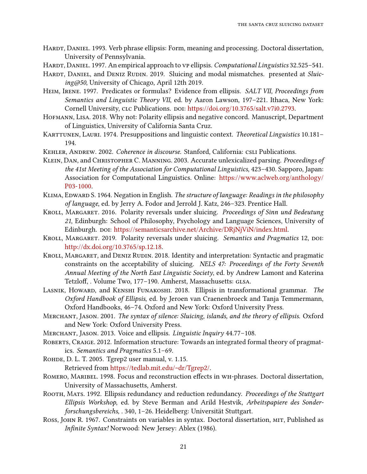- <span id="page-20-14"></span>HARDT, DANIEL. 1993. Verb phrase ellipsis: Form, meaning and processing. Doctoral dissertation, University of Pennsylvania.
- <span id="page-20-15"></span>HARDT, DANIEL. 1997. An empirical approach to vp ellipsis. Computational Linguistics 32.525–541.
- <span id="page-20-19"></span>HARDT, DANIEL, and DENIZ RUDIN. 2019. Sluicing and modal mismatches. presented at Sluicing@50, University of Chicago, April 12th 2019.
- <span id="page-20-13"></span>HEIM, IRENE. 1997. Predicates or formulas? Evidence from ellipsis. SALT VII, Proceedings from Semantics and Linguistic Theory VII, ed. by Aaron Lawson, 197–221. Ithaca, New York: Cornell University, clc Publications. DOI: [https://doi.org/10.3765/salt.v7i0.2793.](https://doi.org/10.3765/salt.v7i0.2793)
- <span id="page-20-5"></span>Hofmann, Lisa. 2018. Why not: Polarity ellipsis and negative concord. Manuscript, Department of Linguistics, University of California Santa Cruz.
- <span id="page-20-9"></span>KARTTUNEN, LAURI. 1974. Presuppositions and linguistic context. Theoretical Linguistics 10.181-194.
- <span id="page-20-16"></span>KEHLER, ANDREW. 2002. Coherence in discourse. Stanford, California: CSLI Publications.
- <span id="page-20-0"></span>KLEIN, DAN, and CHRISTOPHER C. MANNING. 2003. Accurate unlexicalized parsing. Proceedings of the 41st Meeting of the Association for Computational Linguistics, 423–430. Sapporo, Japan: Association for Computational Linguistics. Online: [https://www.aclweb.org/anthology/](https://www.aclweb.org/anthology/P03-1000) [P03-1000.](https://www.aclweb.org/anthology/P03-1000)
- <span id="page-20-6"></span>KLIMA, EDWARD S. 1964. Negation in English. The structure of language: Readings in the philosophy of language, ed. by Jerry A. Fodor and Jerrold J. Katz, 246–323. Prentice Hall.
- <span id="page-20-7"></span>KROLL, MARGARET. 2016. Polarity reversals under sluicing. Proceedings of Sinn und Bedeutung 21, Edinburgh: School of Philosophy, Psychology and Language Sciences, University of Edinburgh. poi: [https://semanticsarchive.net/Archive/DRjNjViN/index.html.](https://semanticsarchive.net/Archive/DRjNjViN/index.html)
- <span id="page-20-8"></span>KROLL, MARGARET. 2019. Polarity reversals under sluicing. Semantics and Pragmatics 12, DOI: [http://dx.doi.org/10.3765/sp.12.18.](http://dx.doi.org/10.3765/sp.12.18)
- <span id="page-20-18"></span>KROLL, MARGARET, and DENIZ RUDIN. 2018. Identity and interpretation: Syntactic and pragmatic constraints on the acceptability of sluicing. NELS 47: Proceedings of the Forty Seventh Annual Meeting of the North East Linguistic Society, ed. by Andrew Lamont and Katerina Tetzloff, . Volume Two, 177-190. Amherst, Massachusetts: GLSA.
- <span id="page-20-10"></span>LASNIK, HOWARD, and KENSHI FUNAKOSHI. 2018. Ellipsis in transformational grammar. The Oxford Handbook of Ellipsis, ed. by Jeroen van Craenenbroeck and Tanja Temmermann, Oxford Handbooks, 46–74. Oxford and New York: Oxford University Press.
- <span id="page-20-4"></span>Merchant, Jason. 2001. The syntax of silence: Sluicing, islands, and the theory of ellipsis. Oxford and New York: Oxford University Press.
- <span id="page-20-17"></span>Merchant, Jason. 2013. Voice and ellipsis. Linguistic Inquiry 44.77–108.
- <span id="page-20-2"></span>ROBERTS, CRAIGE. 2012. Information structure: Towards an integrated formal theory of pragmatics. Semantics and Pragmatics 5.1–69.
- <span id="page-20-1"></span>Rohde, D. L. T. 2005. Tgrep2 user manual, v. 1.15. Retrieved from [https://tedlab.mit.edu/~dr/Tgrep2/.](https://tedlab.mit.edu/~dr/Tgrep2/)
- <span id="page-20-3"></span>ROMERO, MARIBEL. 1998. Focus and reconstruction effects in WH-phrases. Doctoral dissertation, University of Massachusetts, Amherst.
- <span id="page-20-12"></span>ROOTH, MATS. 1992. Ellipsis redundancy and reduction redundancy. Proceedings of the Stuttgart Ellipsis Workshop, ed. by Steve Berman and Arild Hestvik, Arbeitspapiere des Sonderforschungsbereichs, . 340, 1–26. Heidelberg: Universität Stuttgart.
- <span id="page-20-11"></span>ROSS, JOHN R. 1967. Constraints on variables in syntax. Doctoral dissertation, MIT, Published as Infinite Syntax! Norwood: New Jersey: Ablex (1986).